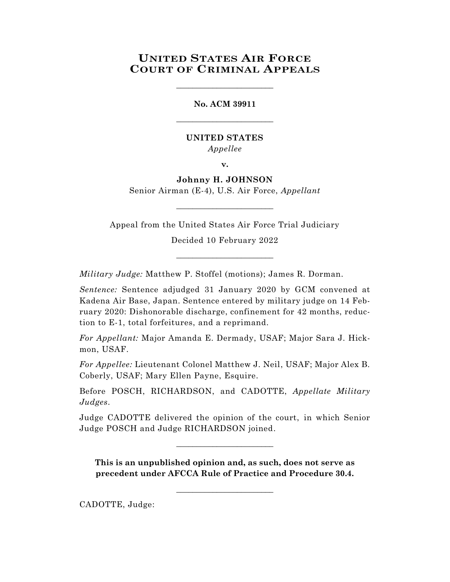## **UNITED STATES AIR FORCE COURT OF CRIMINAL APPEALS**

\_\_\_\_\_\_\_\_\_\_\_\_\_\_\_\_\_\_\_\_\_\_\_\_

**No. ACM 39911** \_\_\_\_\_\_\_\_\_\_\_\_\_\_\_\_\_\_\_\_\_\_\_\_

## **UNITED STATES** *Appellee*

**v.**

# **Johnny H. JOHNSON**

Senior Airman (E-4), U.S. Air Force, *Appellant*  $\_$ 

Appeal from the United States Air Force Trial Judiciary

Decided 10 February 2022

\_\_\_\_\_\_\_\_\_\_\_\_\_\_\_\_\_\_\_\_\_\_\_\_

*Military Judge:* Matthew P. Stoffel (motions); James R. Dorman.

*Sentence:* Sentence adjudged 31 January 2020 by GCM convened at Kadena Air Base, Japan. Sentence entered by military judge on 14 February 2020: Dishonorable discharge, confinement for 42 months, reduction to E-1, total forfeitures, and a reprimand.

*For Appellant:* Major Amanda E. Dermady, USAF; Major Sara J. Hickmon, USAF.

*For Appellee:* Lieutenant Colonel Matthew J. Neil, USAF; Major Alex B. Coberly, USAF; Mary Ellen Payne, Esquire.

Before POSCH, RICHARDSON, and CADOTTE, *Appellate Military Judges*.

Judge CADOTTE delivered the opinion of the court, in which Senior Judge POSCH and Judge RICHARDSON joined.

 $\_$ 

**This is an unpublished opinion and, as such, does not serve as precedent under AFCCA Rule of Practice and Procedure 30.4.**

**\_\_\_\_\_\_\_\_\_\_\_\_\_\_\_\_\_\_\_\_\_\_\_\_**

CADOTTE, Judge: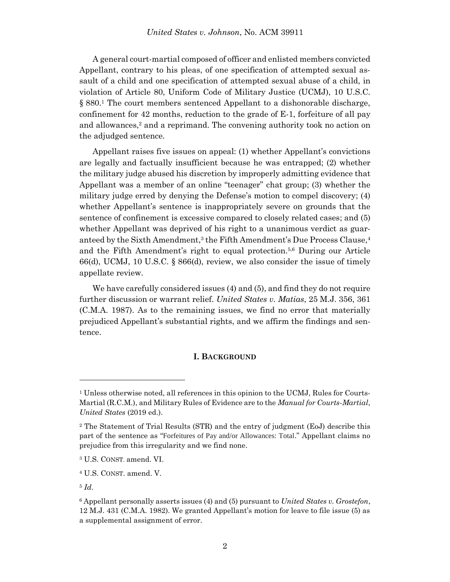A general court-martial composed of officer and enlisted members convicted Appellant, contrary to his pleas, of one specification of attempted sexual assault of a child and one specification of attempted sexual abuse of a child, in violation of Article 80, Uniform Code of Military Justice (UCMJ), 10 U.S.C. § 880. <sup>1</sup> The court members sentenced Appellant to a dishonorable discharge, confinement for 42 months, reduction to the grade of E-1, forfeiture of all pay and allowances, <sup>2</sup> and a reprimand. The convening authority took no action on the adjudged sentence.

Appellant raises five issues on appeal: (1) whether Appellant's convictions are legally and factually insufficient because he was entrapped; (2) whether the military judge abused his discretion by improperly admitting evidence that Appellant was a member of an online "teenager" chat group; (3) whether the military judge erred by denying the Defense's motion to compel discovery; (4) whether Appellant's sentence is inappropriately severe on grounds that the sentence of confinement is excessive compared to closely related cases; and (5) whether Appellant was deprived of his right to a unanimous verdict as guaranteed by the Sixth Amendment,<sup>3</sup> the Fifth Amendment's Due Process Clause,<sup>4</sup> and the Fifth Amendment's right to equal protection. 5,6 During our Article 66(d), UCMJ, 10 U.S.C. § 866(d), review, we also consider the issue of timely appellate review.

We have carefully considered issues (4) and (5), and find they do not require further discussion or warrant relief. *United States v. Matias*, 25 M.J. 356, 361 (C.M.A. 1987). As to the remaining issues, we find no error that materially prejudiced Appellant's substantial rights, and we affirm the findings and sentence.

#### **I. BACKGROUND**

l

<sup>&</sup>lt;sup>1</sup> Unless otherwise noted, all references in this opinion to the UCMJ, Rules for Courts-Martial (R.C.M.), and Military Rules of Evidence are to the *Manual for Courts-Martial*, *United States* (2019 ed.).

<sup>2</sup> The Statement of Trial Results (STR) and the entry of judgment (EoJ) describe this part of the sentence as "Forfeitures of Pay and/or Allowances: Total." Appellant claims no prejudice from this irregularity and we find none.

<sup>3</sup> U.S. CONST. amend. VI.

<sup>4</sup> U.S. CONST. amend. V.

<sup>5</sup> *Id*.

<sup>6</sup> Appellant personally asserts issues (4) and (5) pursuant to *United States v. Grostefon*, 12 M.J. 431 (C.M.A. 1982). We granted Appellant's motion for leave to file issue (5) as a supplemental assignment of error.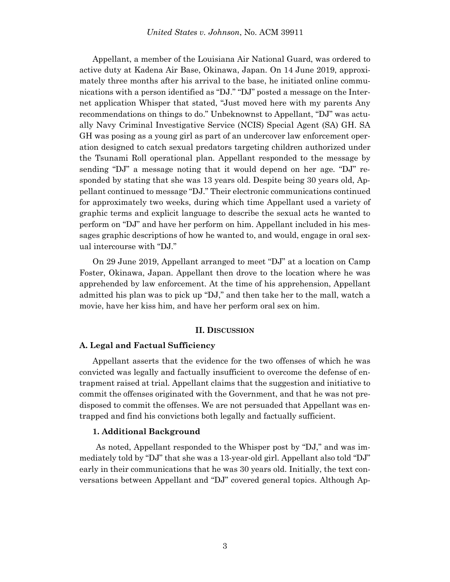Appellant, a member of the Louisiana Air National Guard, was ordered to active duty at Kadena Air Base, Okinawa, Japan. On 14 June 2019, approximately three months after his arrival to the base, he initiated online communications with a person identified as "DJ." "DJ" posted a message on the Internet application Whisper that stated, "Just moved here with my parents Any recommendations on things to do." Unbeknownst to Appellant, "DJ" was actually Navy Criminal Investigative Service (NCIS) Special Agent (SA) GH. SA GH was posing as a young girl as part of an undercover law enforcement operation designed to catch sexual predators targeting children authorized under the Tsunami Roll operational plan. Appellant responded to the message by sending "DJ" a message noting that it would depend on her age. "DJ" responded by stating that she was 13 years old. Despite being 30 years old, Appellant continued to message "DJ." Their electronic communications continued for approximately two weeks, during which time Appellant used a variety of graphic terms and explicit language to describe the sexual acts he wanted to perform on "DJ" and have her perform on him. Appellant included in his messages graphic descriptions of how he wanted to, and would, engage in oral sexual intercourse with "DJ."

On 29 June 2019, Appellant arranged to meet "DJ" at a location on Camp Foster, Okinawa, Japan. Appellant then drove to the location where he was apprehended by law enforcement. At the time of his apprehension, Appellant admitted his plan was to pick up "DJ," and then take her to the mall, watch a movie, have her kiss him, and have her perform oral sex on him.

#### **II. DISCUSSION**

#### **A. Legal and Factual Sufficiency**

Appellant asserts that the evidence for the two offenses of which he was convicted was legally and factually insufficient to overcome the defense of entrapment raised at trial. Appellant claims that the suggestion and initiative to commit the offenses originated with the Government, and that he was not predisposed to commit the offenses. We are not persuaded that Appellant was entrapped and find his convictions both legally and factually sufficient.

#### **1. Additional Background**

As noted, Appellant responded to the Whisper post by "DJ," and was immediately told by "DJ" that she was a 13-year-old girl. Appellant also told "DJ" early in their communications that he was 30 years old. Initially, the text conversations between Appellant and "DJ" covered general topics. Although Ap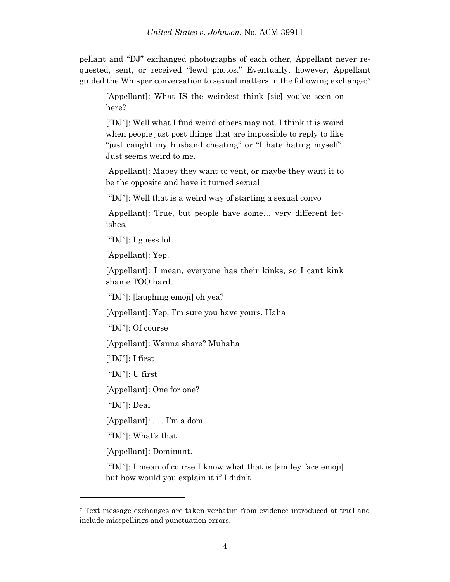pellant and "DJ" exchanged photographs of each other, Appellant never requested, sent, or received "lewd photos." Eventually, however, Appellant guided the Whisper conversation to sexual matters in the following exchange: 7

[Appellant]: What IS the weirdest think [sic] you've seen on here?

["DJ"]: Well what I find weird others may not. I think it is weird when people just post things that are impossible to reply to like "just caught my husband cheating" or "I hate hating myself". Just seems weird to me.

[Appellant]: Mabey they want to vent, or maybe they want it to be the opposite and have it turned sexual

["DJ"]: Well that is a weird way of starting a sexual convo

[Appellant]: True, but people have some… very different fetishes.

["DJ"]: I guess lol

[Appellant]: Yep.

[Appellant]: I mean, everyone has their kinks, so I cant kink shame TOO hard.

["DJ"]: [laughing emoji] oh yea?

[Appellant]: Yep, I'm sure you have yours. Haha

["DJ"]: Of course

[Appellant]: Wanna share? Muhaha

 $['DJ']$ : I first

["DJ"]: U first

[Appellant]: One for one?

["DJ"]: Deal

l

[Appellant]: . . . I'm a dom.

["DJ"]: What's that

[Appellant]: Dominant.

["DJ"]: I mean of course I know what that is [smiley face emoji] but how would you explain it if I didn't

<sup>7</sup> Text message exchanges are taken verbatim from evidence introduced at trial and include misspellings and punctuation errors.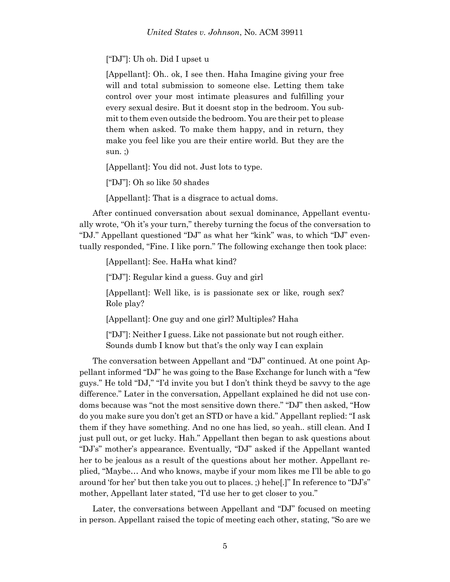["DJ"]: Uh oh. Did I upset u

[Appellant]: Oh.. ok, I see then. Haha Imagine giving your free will and total submission to someone else. Letting them take control over your most intimate pleasures and fulfilling your every sexual desire. But it doesnt stop in the bedroom. You submit to them even outside the bedroom. You are their pet to please them when asked. To make them happy, and in return, they make you feel like you are their entire world. But they are the sun. ;)

[Appellant]: You did not. Just lots to type.

["DJ"]: Oh so like 50 shades

[Appellant]: That is a disgrace to actual doms.

After continued conversation about sexual dominance, Appellant eventually wrote, "Oh it's your turn," thereby turning the focus of the conversation to "DJ." Appellant questioned "DJ" as what her "kink" was, to which "DJ" eventually responded, "Fine. I like porn." The following exchange then took place:

[Appellant]: See. HaHa what kind?

["DJ"]: Regular kind a guess. Guy and girl

[Appellant]: Well like, is is passionate sex or like, rough sex? Role play?

[Appellant]: One guy and one girl? Multiples? Haha

["DJ"]: Neither I guess. Like not passionate but not rough either. Sounds dumb I know but that's the only way I can explain

The conversation between Appellant and "DJ" continued. At one point Appellant informed "DJ" he was going to the Base Exchange for lunch with a "few guys." He told "DJ," "I'd invite you but I don't think theyd be savvy to the age difference." Later in the conversation, Appellant explained he did not use condoms because was "not the most sensitive down there." "DJ" then asked, "How do you make sure you don't get an STD or have a kid." Appellant replied: "I ask them if they have something. And no one has lied, so yeah.. still clean. And I just pull out, or get lucky. Hah." Appellant then began to ask questions about "DJ's" mother's appearance. Eventually, "DJ" asked if the Appellant wanted her to be jealous as a result of the questions about her mother. Appellant replied, "Maybe… And who knows, maybe if your mom likes me I'll be able to go around 'for her' but then take you out to places. ;) hehe[.]" In reference to "DJ's" mother, Appellant later stated, "I'd use her to get closer to you."

Later, the conversations between Appellant and "DJ" focused on meeting in person. Appellant raised the topic of meeting each other, stating, "So are we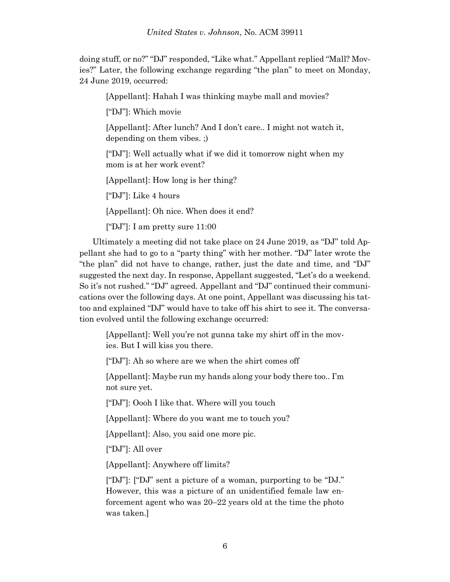doing stuff, or no?" "DJ" responded, "Like what." Appellant replied "Mall? Movies?" Later, the following exchange regarding "the plan" to meet on Monday, 24 June 2019, occurred:

[Appellant]: Hahah I was thinking maybe mall and movies?

["DJ"]: Which movie

[Appellant]: After lunch? And I don't care.. I might not watch it, depending on them vibes. ;)

["DJ"]: Well actually what if we did it tomorrow night when my mom is at her work event?

[Appellant]: How long is her thing?

["DJ"]: Like 4 hours

[Appellant]: Oh nice. When does it end?

["DJ"]: I am pretty sure 11:00

Ultimately a meeting did not take place on 24 June 2019, as "DJ" told Appellant she had to go to a "party thing" with her mother. "DJ" later wrote the "the plan" did not have to change, rather, just the date and time, and "DJ" suggested the next day. In response, Appellant suggested, "Let's do a weekend. So it's not rushed." "DJ" agreed. Appellant and "DJ" continued their communications over the following days. At one point, Appellant was discussing his tattoo and explained "DJ" would have to take off his shirt to see it. The conversation evolved until the following exchange occurred:

[Appellant]: Well you're not gunna take my shirt off in the movies. But I will kiss you there.

["DJ"]: Ah so where are we when the shirt comes off

[Appellant]: Maybe run my hands along your body there too.. I'm not sure yet.

["DJ"]: Oooh I like that. Where will you touch

[Appellant]: Where do you want me to touch you?

[Appellant]: Also, you said one more pic.

["DJ"]: All over

[Appellant]: Anywhere off limits?

["DJ"]: ["DJ" sent a picture of a woman, purporting to be "DJ." However, this was a picture of an unidentified female law enforcement agent who was 20–22 years old at the time the photo was taken.]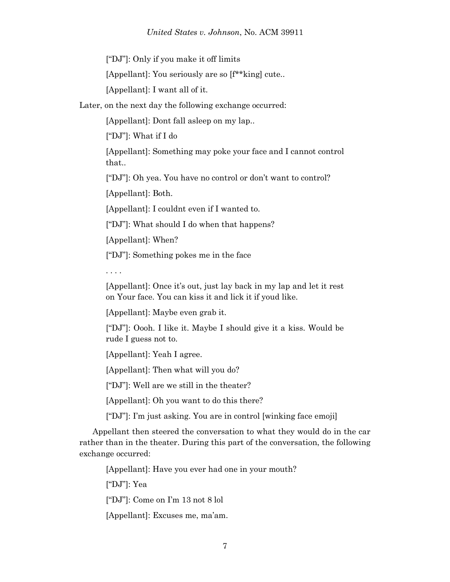["DJ"]: Only if you make it off limits

[Appellant]: You seriously are so [f\*\*king] cute..

[Appellant]: I want all of it.

Later, on the next day the following exchange occurred:

[Appellant]: Dont fall asleep on my lap..

["DJ"]: What if I do

[Appellant]: Something may poke your face and I cannot control that..

["DJ"]: Oh yea. You have no control or don't want to control?

[Appellant]: Both.

[Appellant]: I couldnt even if I wanted to.

["DJ"]: What should I do when that happens?

[Appellant]: When?

["DJ"]: Something pokes me in the face

. . . .

[Appellant]: Once it's out, just lay back in my lap and let it rest on Your face. You can kiss it and lick it if youd like.

[Appellant]: Maybe even grab it.

["DJ"]: Oooh. I like it. Maybe I should give it a kiss. Would be rude I guess not to.

[Appellant]: Yeah I agree.

[Appellant]: Then what will you do?

["DJ"]: Well are we still in the theater?

[Appellant]: Oh you want to do this there?

["DJ"]: I'm just asking. You are in control [winking face emoji]

Appellant then steered the conversation to what they would do in the car rather than in the theater. During this part of the conversation, the following exchange occurred:

[Appellant]: Have you ever had one in your mouth?

["DJ"]: Yea

["DJ"]: Come on I'm 13 not 8 lol

[Appellant]: Excuses me, ma'am.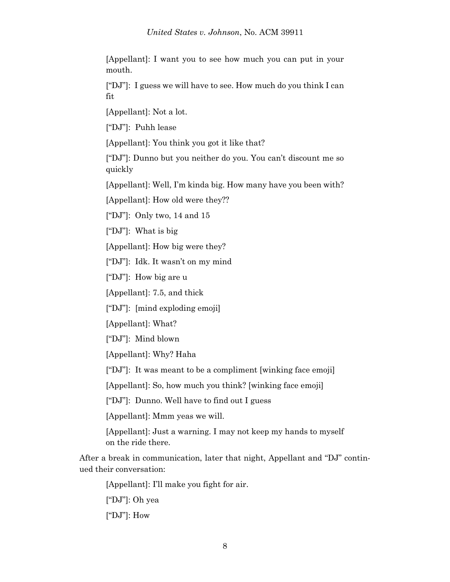[Appellant]: I want you to see how much you can put in your mouth.

["DJ"]: I guess we will have to see. How much do you think I can fit

[Appellant]: Not a lot.

["DJ"]: Puhh lease

[Appellant]: You think you got it like that?

["DJ"]: Dunno but you neither do you. You can't discount me so quickly

[Appellant]: Well, I'm kinda big. How many have you been with?

[Appellant]: How old were they??

["DJ"]: Only two, 14 and 15

["DJ"]: What is big

[Appellant]: How big were they?

["DJ"]: Idk. It wasn't on my mind

["DJ"]: How big are u

[Appellant]: 7.5, and thick

["DJ"]: [mind exploding emoji]

[Appellant]: What?

["DJ"]: Mind blown

[Appellant]: Why? Haha

["DJ"]: It was meant to be a compliment [winking face emoji]

[Appellant]: So, how much you think? [winking face emoji]

["DJ"]: Dunno. Well have to find out I guess

[Appellant]: Mmm yeas we will.

[Appellant]: Just a warning. I may not keep my hands to myself on the ride there.

After a break in communication, later that night, Appellant and "DJ" continued their conversation:

[Appellant]: I'll make you fight for air.

["DJ"]: Oh yea

 $[$ "DJ"]: How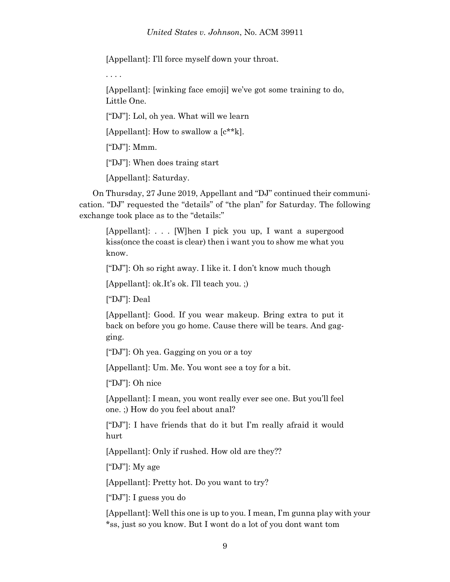[Appellant]: I'll force myself down your throat.

. . . .

[Appellant]: [winking face emoji] we've got some training to do, Little One.

["DJ"]: Lol, oh yea. What will we learn

[Appellant]: How to swallow a [c\*\*k].

["DJ"]: Mmm.

["DJ"]: When does traing start

[Appellant]: Saturday.

On Thursday, 27 June 2019, Appellant and "DJ" continued their communication. "DJ" requested the "details" of "the plan" for Saturday. The following exchange took place as to the "details:"

[Appellant]: . . . [W]hen I pick you up, I want a supergood kiss(once the coast is clear) then i want you to show me what you know.

["DJ"]: Oh so right away. I like it. I don't know much though

[Appellant]: ok.It's ok. I'll teach you. ;)

["DJ"]: Deal

[Appellant]: Good. If you wear makeup. Bring extra to put it back on before you go home. Cause there will be tears. And gagging.

["DJ"]: Oh yea. Gagging on you or a toy

[Appellant]: Um. Me. You wont see a toy for a bit.

["DJ"]: Oh nice

[Appellant]: I mean, you wont really ever see one. But you'll feel one. ;) How do you feel about anal?

["DJ"]: I have friends that do it but I'm really afraid it would hurt

[Appellant]: Only if rushed. How old are they??

["DJ"]: My age

[Appellant]: Pretty hot. Do you want to try?

["DJ"]: I guess you do

[Appellant]: Well this one is up to you. I mean, I'm gunna play with your \*ss, just so you know. But I wont do a lot of you dont want tom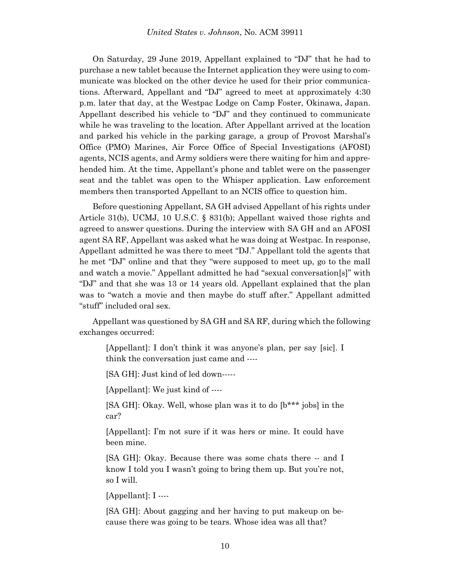On Saturday, 29 June 2019, Appellant explained to "DJ" that he had to purchase a new tablet because the Internet application they were using to communicate was blocked on the other device he used for their prior communications. Afterward, Appellant and "DJ" agreed to meet at approximately 4:30 p.m. later that day, at the Westpac Lodge on Camp Foster, Okinawa, Japan. Appellant described his vehicle to "DJ" and they continued to communicate while he was traveling to the location. After Appellant arrived at the location and parked his vehicle in the parking garage, a group of Provost Marshal's Office (PMO) Marines, Air Force Office of Special Investigations (AFOSI) agents, NCIS agents, and Army soldiers were there waiting for him and apprehended him. At the time, Appellant's phone and tablet were on the passenger seat and the tablet was open to the Whisper application. Law enforcement members then transported Appellant to an NCIS office to question him.

Before questioning Appellant, SA GH advised Appellant of his rights under Article 31(b), UCMJ, 10 U.S.C. § 831(b); Appellant waived those rights and agreed to answer questions. During the interview with SA GH and an AFOSI agent SA RF, Appellant was asked what he was doing at Westpac. In response, Appellant admitted he was there to meet "DJ." Appellant told the agents that he met "DJ" online and that they "were supposed to meet up, go to the mall and watch a movie." Appellant admitted he had "sexual conversation[s]" with "DJ" and that she was 13 or 14 years old. Appellant explained that the plan was to "watch a movie and then maybe do stuff after." Appellant admitted "stuff" included oral sex.

Appellant was questioned by SA GH and SA RF, during which the following exchanges occurred:

[Appellant]: I don't think it was anyone's plan, per say [sic]. I think the conversation just came and ----

[SA GH]: Just kind of led down-----

[Appellant]: We just kind of ----

[SA GH]: Okay. Well, whose plan was it to do [b\*\*\* jobs] in the car?

[Appellant]: I'm not sure if it was hers or mine. It could have been mine.

[SA GH]: Okay. Because there was some chats there -- and I know I told you I wasn't going to bring them up. But you're not, so I will.

[Appellant]: I ----

[SA GH]: About gagging and her having to put makeup on because there was going to be tears. Whose idea was all that?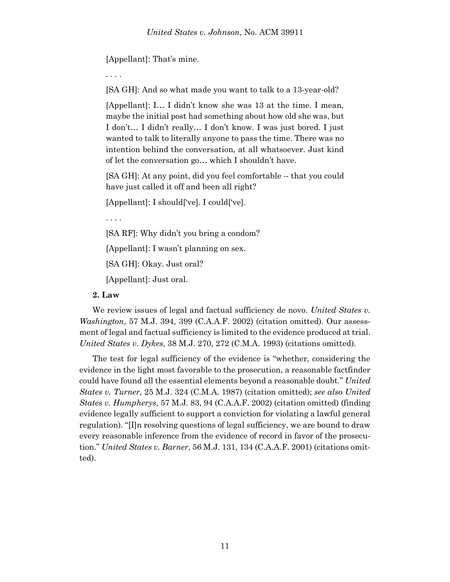[Appellant]: That's mine.

. . . .

[SA GH]: And so what made you want to talk to a 13-year-old?

[Appellant]: I… I didn't know she was 13 at the time. I mean, maybe the initial post had something about how old she was, but I don't… I didn't really… I don't know. I was just bored. I just wanted to talk to literally anyone to pass the time. There was no intention behind the conversation, at all whatsoever. Just kind of let the conversation go… which I shouldn't have.

[SA GH]: At any point, did you feel comfortable -- that you could have just called it off and been all right?

[Appellant]: I should['ve]. I could['ve].

. . . .

[SA RF]: Why didn't you bring a condom?

[Appellant]: I wasn't planning on sex.

[SA GH]: Okay. Just oral?

[Appellant]: Just oral.

#### **2. Law**

We review issues of legal and factual sufficiency de novo. *United States v. Washington*, 57 M.J. 394, 399 (C.A.A.F. 2002) (citation omitted). Our assessment of legal and factual sufficiency is limited to the evidence produced at trial. *United States v. Dykes*, 38 M.J. 270, 272 (C.M.A. 1993) (citations omitted).

The test for legal sufficiency of the evidence is "whether, considering the evidence in the light most favorable to the prosecution, a reasonable factfinder could have found all the essential elements beyond a reasonable doubt." *United States v. Turner*, 25 M.J. 324 (C.M.A. 1987) (citation omitted); *see also United States v. Humpherys*, 57 M.J. 83, 94 (C.A.A.F. 2002) (citation omitted) (finding evidence legally sufficient to support a conviction for violating a lawful general regulation). "[I]n resolving questions of legal sufficiency, we are bound to draw every reasonable inference from the evidence of record in favor of the prosecution." *United States v. Barner*, 56 M.J. 131, 134 (C.A.A.F. 2001) (citations omitted).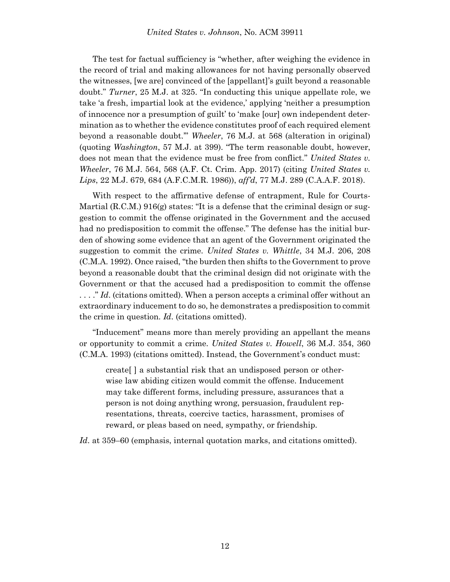The test for factual sufficiency is "whether, after weighing the evidence in the record of trial and making allowances for not having personally observed the witnesses, [we are] convinced of the [appellant]'s guilt beyond a reasonable doubt." *Turner*, 25 M.J. at 325. "In conducting this unique appellate role, we take 'a fresh, impartial look at the evidence,' applying 'neither a presumption of innocence nor a presumption of guilt' to 'make [our] own independent determination as to whether the evidence constitutes proof of each required element beyond a reasonable doubt.'" *Wheeler*, 76 M.J. at 568 (alteration in original) (quoting *Washington*, 57 M.J. at 399). "The term reasonable doubt, however, does not mean that the evidence must be free from conflict." *United States v. Wheeler*, 76 M.J. 564, 568 (A.F. Ct. Crim. App. 2017) (citing *United States v. Lips*, 22 M.J. 679, 684 (A.F.C.M.R. 1986)), *aff'd*, 77 M.J. 289 (C.A.A.F. 2018).

With respect to the affirmative defense of entrapment, Rule for Courts-Martial  $(R.C.M.)$  916(g) states: "It is a defense that the criminal design or suggestion to commit the offense originated in the Government and the accused had no predisposition to commit the offense." The defense has the initial burden of showing some evidence that an agent of the Government originated the suggestion to commit the crime. *United States v. Whittle*, 34 M.J. 206, 208 (C.M.A. 1992). Once raised, "the burden then shifts to the Government to prove beyond a reasonable doubt that the criminal design did not originate with the Government or that the accused had a predisposition to commit the offense . . . ." *Id*. (citations omitted). When a person accepts a criminal offer without an extraordinary inducement to do so, he demonstrates a predisposition to commit the crime in question. *Id*. (citations omitted).

"Inducement" means more than merely providing an appellant the means or opportunity to commit a crime. *United States v. Howell*, 36 M.J. 354, 360 (C.M.A. 1993) (citations omitted). Instead, the Government's conduct must:

create[ ] a substantial risk that an undisposed person or otherwise law abiding citizen would commit the offense. Inducement may take different forms, including pressure, assurances that a person is not doing anything wrong, persuasion, fraudulent representations, threats, coercive tactics, harassment, promises of reward, or pleas based on need, sympathy, or friendship.

*Id*. at 359–60 (emphasis, internal quotation marks, and citations omitted).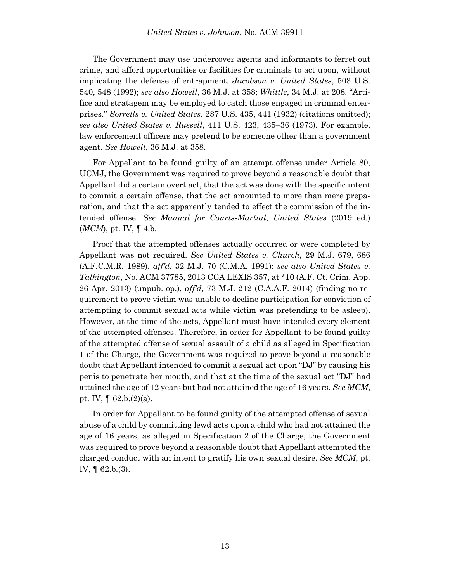The Government may use undercover agents and informants to ferret out crime, and afford opportunities or facilities for criminals to act upon, without implicating the defense of entrapment. *Jacobson v. United States*, 503 U.S. 540, 548 (1992); *see also Howell*, 36 M.J. at 358; *Whittle*, 34 M.J. at 208. "Artifice and stratagem may be employed to catch those engaged in criminal enterprises." *Sorrells v. United States*, 287 U.S. 435, 441 (1932) (citations omitted); *see also United States v. Russell*, 411 U.S. 423, 435–36 (1973). For example, law enforcement officers may pretend to be someone other than a government agent. *See Howell*, 36 M.J. at 358.

For Appellant to be found guilty of an attempt offense under Article 80, UCMJ, the Government was required to prove beyond a reasonable doubt that Appellant did a certain overt act, that the act was done with the specific intent to commit a certain offense, that the act amounted to more than mere preparation, and that the act apparently tended to effect the commission of the intended offense. *See Manual for Courts-Martial*, *United States* (2019 ed.) (*MCM*), pt. IV, ¶ 4.b.

Proof that the attempted offenses actually occurred or were completed by Appellant was not required. *See United States v. Church*, 29 M.J. 679, 686 (A.F.C.M.R. 1989), *aff'd*, 32 M.J. 70 (C.M.A. 1991); *see also United States v. Talkington*, No. ACM 37785, 2013 CCA LEXIS 357, at \*10 (A.F. Ct. Crim. App. 26 Apr. 2013) (unpub. op.), *aff'd*, 73 M.J. 212 (C.A.A.F. 2014) (finding no requirement to prove victim was unable to decline participation for conviction of attempting to commit sexual acts while victim was pretending to be asleep). However, at the time of the acts, Appellant must have intended every element of the attempted offenses. Therefore, in order for Appellant to be found guilty of the attempted offense of sexual assault of a child as alleged in Specification 1 of the Charge, the Government was required to prove beyond a reasonable doubt that Appellant intended to commit a sexual act upon "DJ" by causing his penis to penetrate her mouth, and that at the time of the sexual act "DJ" had attained the age of 12 years but had not attained the age of 16 years. *See MCM*, pt. IV, ¶ 62.b.(2)(a).

In order for Appellant to be found guilty of the attempted offense of sexual abuse of a child by committing lewd acts upon a child who had not attained the age of 16 years, as alleged in Specification 2 of the Charge, the Government was required to prove beyond a reasonable doubt that Appellant attempted the charged conduct with an intent to gratify his own sexual desire. *See MCM*, pt. IV, ¶ 62.b.(3).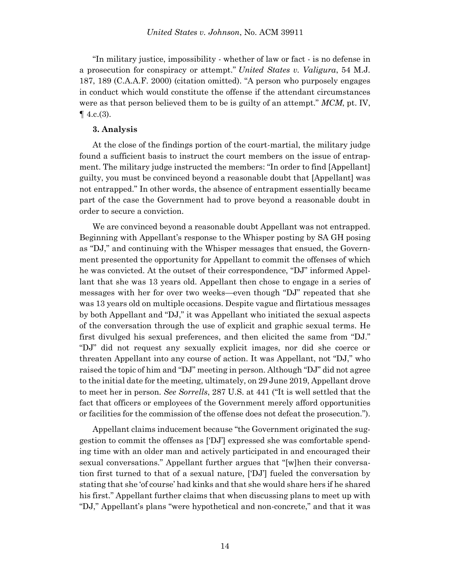"In military justice, impossibility - whether of law or fact - is no defense in a prosecution for conspiracy or attempt." *[United States v. Valigura](https://plus.lexis.com/document/documentlink/?pdmfid=1530671&crid=1b7d85d0-01e4-43fb-87df-4edd83c92fdd&pddocfullpath=%2Fshared%2Fdocument%2Fcases%2Furn%3AcontentItem%3A419C-MSY0-003S-G0DB-00000-00&pdcontentcomponentid=7813&pdproductcontenttypeid=urn%3Apct%3A30&pdiskwicview=false&pdpinpoint=PAGE_189_2181&prid=5bae2002-7ab7-4105-a6a7-2f629e0d13ab&ecomp=bgktk)*, 54 M.J. [187,](https://plus.lexis.com/document/documentlink/?pdmfid=1530671&crid=1b7d85d0-01e4-43fb-87df-4edd83c92fdd&pddocfullpath=%2Fshared%2Fdocument%2Fcases%2Furn%3AcontentItem%3A419C-MSY0-003S-G0DB-00000-00&pdcontentcomponentid=7813&pdproductcontenttypeid=urn%3Apct%3A30&pdiskwicview=false&pdpinpoint=PAGE_189_2181&prid=5bae2002-7ab7-4105-a6a7-2f629e0d13ab&ecomp=bgktk) 189 (C.A.A.F. 2000) (citation omitted). "A person who purposely engages in conduct which would constitute the offense if the attendant circumstances were as that person believed them to be is guilty of an attempt." *MCM*, pt. IV,  $\P$  4.c.(3).

#### **3. Analysis**

At the close of the findings portion of the court-martial, the military judge found a sufficient basis to instruct the court members on the issue of entrapment. The military judge instructed the members: "In order to find [Appellant] guilty, you must be convinced beyond a reasonable doubt that [Appellant] was not entrapped." In other words, the absence of entrapment essentially became part of the case the Government had to prove beyond a reasonable doubt in order to secure a conviction.

We are convinced beyond a reasonable doubt Appellant was not entrapped. Beginning with Appellant's response to the Whisper posting by SA GH posing as "DJ," and continuing with the Whisper messages that ensued, the Government presented the opportunity for Appellant to commit the offenses of which he was convicted. At the outset of their correspondence, "DJ" informed Appellant that she was 13 years old. Appellant then chose to engage in a series of messages with her for over two weeks—even though "DJ" repeated that she was 13 years old on multiple occasions. Despite vague and flirtatious messages by both Appellant and "DJ," it was Appellant who initiated the sexual aspects of the conversation through the use of explicit and graphic sexual terms. He first divulged his sexual preferences, and then elicited the same from "DJ." "DJ" did not request any sexually explicit images, nor did she coerce or threaten Appellant into any course of action. It was Appellant, not "DJ," who raised the topic of him and "DJ" meeting in person. Although "DJ" did not agree to the initial date for the meeting, ultimately, on 29 June 2019, Appellant drove to meet her in person. *See Sorrells*, 287 U.S. at 441 ("It is well settled that the fact that officers or employees of the Government merely afford opportunities or facilities for the commission of the offense does not defeat the prosecution.").

Appellant claims inducement because "the Government originated the suggestion to commit the offenses as ['DJ'] expressed she was comfortable spending time with an older man and actively participated in and encouraged their sexual conversations." Appellant further argues that "[w]hen their conversation first turned to that of a sexual nature, ['DJ'] fueled the conversation by stating that she 'of course' had kinks and that she would share hers if he shared his first." Appellant further claims that when discussing plans to meet up with "DJ," Appellant's plans "were hypothetical and non-concrete," and that it was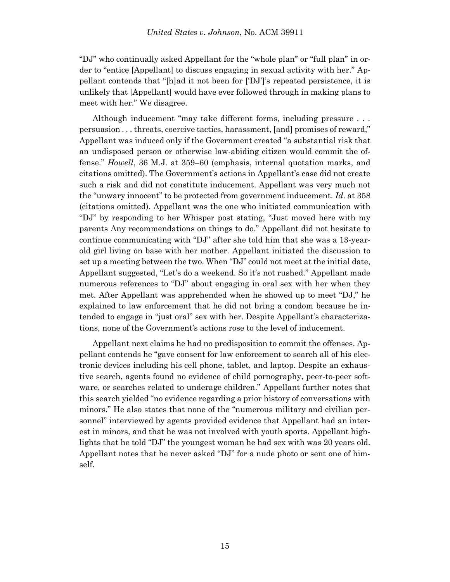"DJ" who continually asked Appellant for the "whole plan" or "full plan" in order to "entice [Appellant] to discuss engaging in sexual activity with her." Appellant contends that "[h]ad it not been for ['DJ']'s repeated persistence, it is unlikely that [Appellant] would have ever followed through in making plans to meet with her." We disagree.

Although inducement "may take different forms, including pressure . . . persuasion . . . threats, coercive tactics, harassment, [and] promises of reward," Appellant was induced only if the Government created "a substantial risk that an undisposed person or otherwise law-abiding citizen would commit the offense." *Howell*, 36 M.J. at 359–60 (emphasis, internal quotation marks, and citations omitted). The Government's actions in Appellant's case did not create such a risk and did not constitute inducement. Appellant was very much not the "unwary innocent" to be protected from government inducement. *Id*. at 358 (citations omitted). Appellant was the one who initiated communication with "DJ" by responding to her Whisper post stating, "Just moved here with my parents Any recommendations on things to do." Appellant did not hesitate to continue communicating with "DJ" after she told him that she was a 13-yearold girl living on base with her mother. Appellant initiated the discussion to set up a meeting between the two. When "DJ" could not meet at the initial date, Appellant suggested, "Let's do a weekend. So it's not rushed." Appellant made numerous references to "DJ" about engaging in oral sex with her when they met. After Appellant was apprehended when he showed up to meet "DJ," he explained to law enforcement that he did not bring a condom because he intended to engage in "just oral" sex with her. Despite Appellant's characterizations, none of the Government's actions rose to the level of inducement.

Appellant next claims he had no predisposition to commit the offenses. Appellant contends he "gave consent for law enforcement to search all of his electronic devices including his cell phone, tablet, and laptop. Despite an exhaustive search, agents found no evidence of child pornography, peer-to-peer software, or searches related to underage children." Appellant further notes that this search yielded "no evidence regarding a prior history of conversations with minors." He also states that none of the "numerous military and civilian personnel" interviewed by agents provided evidence that Appellant had an interest in minors, and that he was not involved with youth sports. Appellant highlights that he told "DJ" the youngest woman he had sex with was 20 years old. Appellant notes that he never asked "DJ" for a nude photo or sent one of himself.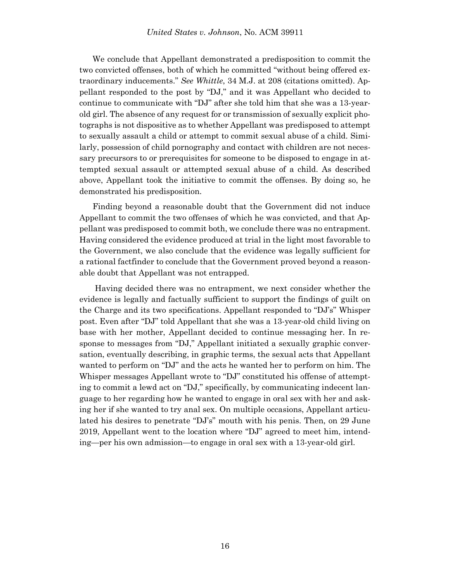We conclude that Appellant demonstrated a predisposition to commit the two convicted offenses, both of which he committed "without being offered extraordinary inducements." *See Whittle*, 34 M.J. at 208 (citations omitted). Appellant responded to the post by "DJ," and it was Appellant who decided to continue to communicate with "DJ" after she told him that she was a 13-yearold girl. The absence of any request for or transmission of sexually explicit photographs is not dispositive as to whether Appellant was predisposed to attempt to sexually assault a child or attempt to commit sexual abuse of a child. Similarly, possession of child pornography and contact with children are not necessary precursors to or prerequisites for someone to be disposed to engage in attempted sexual assault or attempted sexual abuse of a child. As described above, Appellant took the initiative to commit the offenses. By doing so, he demonstrated his predisposition.

Finding beyond a reasonable doubt that the Government did not induce Appellant to commit the two offenses of which he was convicted, and that Appellant was predisposed to commit both, we conclude there was no entrapment. Having considered the evidence produced at trial in the light most favorable to the Government, we also conclude that the evidence was legally sufficient for a rational factfinder to conclude that the Government proved beyond a reasonable doubt that Appellant was not entrapped.

Having decided there was no entrapment, we next consider whether the evidence is legally and factually sufficient to support the findings of guilt on the Charge and its two specifications. Appellant responded to "DJ's" Whisper post. Even after "DJ" told Appellant that she was a 13-year-old child living on base with her mother, Appellant decided to continue messaging her. In response to messages from "DJ," Appellant initiated a sexually graphic conversation, eventually describing, in graphic terms, the sexual acts that Appellant wanted to perform on "DJ" and the acts he wanted her to perform on him. The Whisper messages Appellant wrote to "DJ" constituted his offense of attempting to commit a lewd act on "DJ," specifically, by communicating indecent language to her regarding how he wanted to engage in oral sex with her and asking her if she wanted to try anal sex. On multiple occasions, Appellant articulated his desires to penetrate "DJ's" mouth with his penis. Then, on 29 June 2019, Appellant went to the location where "DJ" agreed to meet him, intending—per his own admission—to engage in oral sex with a 13-year-old girl.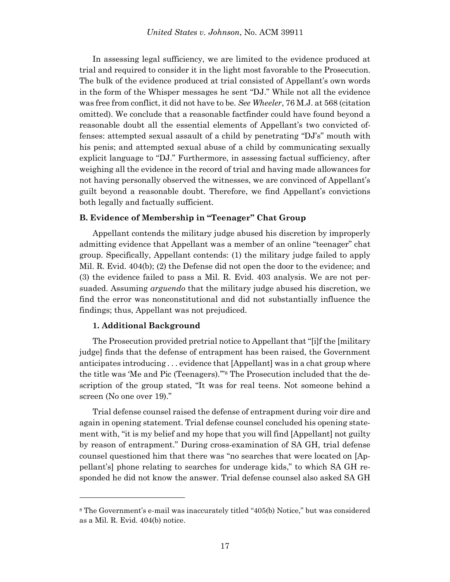In assessing legal sufficiency, we are limited to the evidence produced at trial and required to consider it in the light most favorable to the Prosecution. The bulk of the evidence produced at trial consisted of Appellant's own words in the form of the Whisper messages he sent "DJ." While not all the evidence was free from conflict, it did not have to be. *See Wheeler*, 76 M.J. at 568 (citation omitted). We conclude that a reasonable factfinder could have found beyond a reasonable doubt all the essential elements of Appellant's two convicted offenses: attempted sexual assault of a child by penetrating "DJ's" mouth with his penis; and attempted sexual abuse of a child by communicating sexually explicit language to "DJ." Furthermore, in assessing factual sufficiency, after weighing all the evidence in the record of trial and having made allowances for not having personally observed the witnesses, we are convinced of Appellant's guilt beyond a reasonable doubt. Therefore, we find Appellant's convictions both legally and factually sufficient.

## **B. Evidence of Membership in "Teenager" Chat Group**

Appellant contends the military judge abused his discretion by improperly admitting evidence that Appellant was a member of an online "teenager" chat group. Specifically, Appellant contends: (1) the military judge failed to apply Mil. R. Evid. 404(b); (2) the Defense did not open the door to the evidence; and (3) the evidence failed to pass a Mil. R. Evid. 403 analysis. We are not persuaded. Assuming *arguendo* that the military judge abused his discretion, we find the error was nonconstitutional and did not substantially influence the findings; thus, Appellant was not prejudiced.

#### **1. Additional Background**

l

The Prosecution provided pretrial notice to Appellant that "[i]f the [military judge] finds that the defense of entrapment has been raised, the Government anticipates introducing . . . evidence that [Appellant] was in a chat group where the title was 'Me and Pic (Teenagers).'"<sup>8</sup> The Prosecution included that the description of the group stated, "It was for real teens. Not someone behind a screen (No one over 19)."

Trial defense counsel raised the defense of entrapment during voir dire and again in opening statement. Trial defense counsel concluded his opening statement with, "it is my belief and my hope that you will find [Appellant] not guilty by reason of entrapment." During cross-examination of SA GH, trial defense counsel questioned him that there was "no searches that were located on [Appellant's] phone relating to searches for underage kids," to which SA GH responded he did not know the answer. Trial defense counsel also asked SA GH

<sup>8</sup> The Government's e-mail was inaccurately titled "405(b) Notice," but was considered as a Mil. R. Evid. 404(b) notice.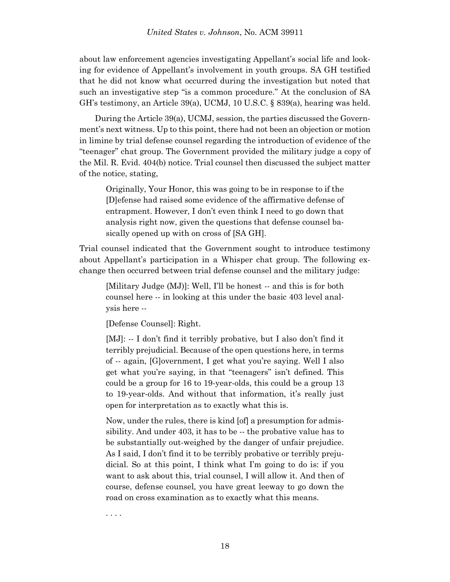about law enforcement agencies investigating Appellant's social life and looking for evidence of Appellant's involvement in youth groups. SA GH testified that he did not know what occurred during the investigation but noted that such an investigative step "is a common procedure." At the conclusion of SA GH's testimony, an Article 39(a), UCMJ, 10 U.S.C. § 839(a), hearing was held.

During the Article 39(a), UCMJ, session, the parties discussed the Government's next witness. Up to this point, there had not been an objection or motion in limine by trial defense counsel regarding the introduction of evidence of the "teenager" chat group. The Government provided the military judge a copy of the Mil. R. Evid. 404(b) notice. Trial counsel then discussed the subject matter of the notice, stating,

Originally, Your Honor, this was going to be in response to if the [D]efense had raised some evidence of the affirmative defense of entrapment. However, I don't even think I need to go down that analysis right now, given the questions that defense counsel basically opened up with on cross of [SA GH].

Trial counsel indicated that the Government sought to introduce testimony about Appellant's participation in a Whisper chat group. The following exchange then occurred between trial defense counsel and the military judge:

[Military Judge (MJ)]: Well, I'll be honest -- and this is for both counsel here -- in looking at this under the basic 403 level analysis here --

[Defense Counsel]: Right.

[MJ]: -- I don't find it terribly probative, but I also don't find it terribly prejudicial. Because of the open questions here, in terms of -- again, [G]overnment, I get what you're saying. Well I also get what you're saying, in that "teenagers" isn't defined. This could be a group for 16 to 19-year-olds, this could be a group 13 to 19-year-olds. And without that information, it's really just open for interpretation as to exactly what this is.

Now, under the rules, there is kind [of] a presumption for admissibility. And under 403, it has to be -- the probative value has to be substantially out-weighed by the danger of unfair prejudice. As I said, I don't find it to be terribly probative or terribly prejudicial. So at this point, I think what I'm going to do is: if you want to ask about this, trial counsel, I will allow it. And then of course, defense counsel, you have great leeway to go down the road on cross examination as to exactly what this means.

. . . .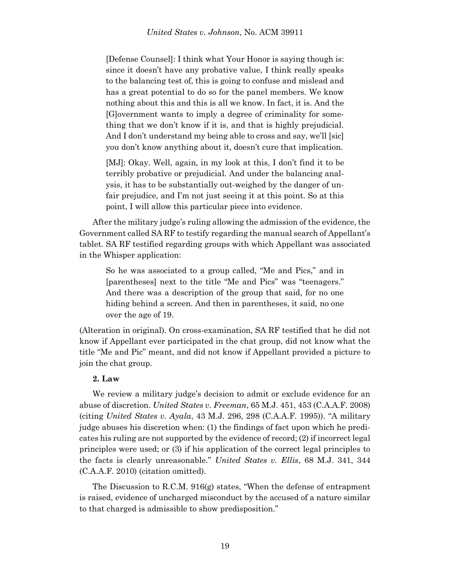[Defense Counsel]: I think what Your Honor is saying though is: since it doesn't have any probative value, I think really speaks to the balancing test of, this is going to confuse and mislead and has a great potential to do so for the panel members. We know nothing about this and this is all we know. In fact, it is. And the [G]overnment wants to imply a degree of criminality for something that we don't know if it is, and that is highly prejudicial. And I don't understand my being able to cross and say, we'll [sic] you don't know anything about it, doesn't cure that implication.

[MJ]: Okay. Well, again, in my look at this, I don't find it to be terribly probative or prejudicial. And under the balancing analysis, it has to be substantially out-weighed by the danger of unfair prejudice, and I'm not just seeing it at this point. So at this point, I will allow this particular piece into evidence.

After the military judge's ruling allowing the admission of the evidence, the Government called SA RF to testify regarding the manual search of Appellant's tablet. SA RF testified regarding groups with which Appellant was associated in the Whisper application:

So he was associated to a group called, "Me and Pics," and in [parentheses] next to the title "Me and Pics" was "teenagers." And there was a description of the group that said, for no one hiding behind a screen. And then in parentheses, it said, no one over the age of 19.

(Alteration in original). On cross-examination, SA RF testified that he did not know if Appellant ever participated in the chat group, did not know what the title "Me and Pic" meant, and did not know if Appellant provided a picture to join the chat group.

## **2. Law**

We review a military judge's decision to admit or exclude evidence for an abuse of discretion. *United States v. Freeman*, 65 M.J. 451, 453 (C.A.A.F. 2008) (citing *United States v. Ayala*, 43 M.J. 296, 298 (C.A.A.F. 1995)). "A military judge abuses his discretion when: (1) the findings of fact upon which he predicates his ruling are not supported by the evidence of record; (2) if incorrect legal principles were used; or (3) if his application of the correct legal principles to the facts is clearly unreasonable." *United States v. Ellis*, 68 M.J. 341, 344 (C.A.A.F. 2010) (citation omitted).

The Discussion to R.C.M. 916(g) states, "When the defense of entrapment is raised, evidence of uncharged misconduct by the accused of a nature similar to that charged is admissible to show predisposition."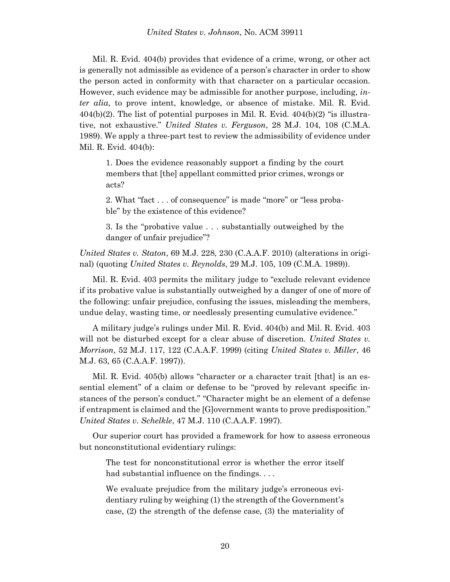Mil. R. Evid. 404(b) provides that evidence of a crime, wrong, or other act is generally not admissible as evidence of a person's character in order to show the person acted in conformity with that character on a particular occasion. However, such evidence may be admissible for another purpose, including, *inter alia*, to prove intent, knowledge, or absence of mistake. Mil. R. Evid.  $404(b)(2)$ . The list of potential purposes in Mil. R. Evid.  $404(b)(2)$  "is illustrative, not exhaustive." *United States v. Ferguson*, 28 M.J. 104, 108 (C.M.A. 1989). We apply a three-part test to review the admissibility of evidence under Mil. R. Evid. 404(b):

1. Does the evidence reasonably support a finding by the court members that [the] appellant committed prior crimes, wrongs or acts?

2. What "fact . . . of consequence" is made "more" or "less probable" by the existence of this evidence?

3. Is the "probative value . . . substantially outweighed by the danger of unfair prejudice"?

*United States v. Staton*, 69 M.J. 228, 230 (C.A.A.F. 2010) (alterations in original) (quoting *United States v. Reynolds*, 29 M.J. 105, 109 (C.M.A. 1989)).

Mil. R. Evid. 403 permits the military judge to "exclude relevant evidence if its probative value is substantially outweighed by a danger of one of more of the following: unfair prejudice, confusing the issues, misleading the members, undue delay, wasting time, or needlessly presenting cumulative evidence."

A military judge's rulings under Mil. R. Evid. 404(b) and Mil. R. Evid. 403 will not be disturbed except for a clear abuse of discretion. *United States v. Morrison*, 52 M.J. 117, 122 (C.A.A.F. 1999) (citing *United States v. Miller*, 46 M.J. 63, 65 (C.A.A.F. 1997)).

Mil. R. Evid. 405(b) allows "character or a character trait [that] is an essential element" of a claim or defense to be "proved by relevant specific instances of the person's conduct." "Character might be an element of a defense if entrapment is claimed and the [G]overnment wants to prove predisposition." *United States v. Schelkle*, 47 M.J. 110 (C.A.A.F. 1997).

Our superior court has provided a framework for how to assess erroneous but nonconstitutional evidentiary rulings:

The test for nonconstitutional error is whether the error itself had substantial influence on the findings. . . .

We evaluate prejudice from the military judge's erroneous evidentiary ruling by weighing (1) the strength of the Government's case, (2) the strength of the defense case, (3) the materiality of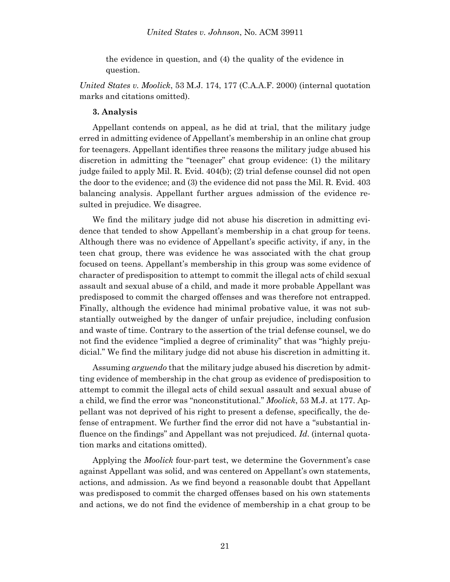the evidence in question, and (4) the quality of the evidence in question.

*United States v. Moolick*, 53 M.J. 174, 177 (C.A.A.F. 2000) (internal quotation marks and citations omitted).

#### **3. Analysis**

Appellant contends on appeal, as he did at trial, that the military judge erred in admitting evidence of Appellant's membership in an online chat group for teenagers. Appellant identifies three reasons the military judge abused his discretion in admitting the "teenager" chat group evidence: (1) the military judge failed to apply Mil. R. Evid. 404(b); (2) trial defense counsel did not open the door to the evidence; and (3) the evidence did not pass the Mil. R. Evid. 403 balancing analysis. Appellant further argues admission of the evidence resulted in prejudice. We disagree.

We find the military judge did not abuse his discretion in admitting evidence that tended to show Appellant's membership in a chat group for teens. Although there was no evidence of Appellant's specific activity, if any, in the teen chat group, there was evidence he was associated with the chat group focused on teens. Appellant's membership in this group was some evidence of character of predisposition to attempt to commit the illegal acts of child sexual assault and sexual abuse of a child, and made it more probable Appellant was predisposed to commit the charged offenses and was therefore not entrapped. Finally, although the evidence had minimal probative value, it was not substantially outweighed by the danger of unfair prejudice, including confusion and waste of time. Contrary to the assertion of the trial defense counsel, we do not find the evidence "implied a degree of criminality" that was "highly prejudicial." We find the military judge did not abuse his discretion in admitting it.

Assuming *arguendo* that the military judge abused his discretion by admitting evidence of membership in the chat group as evidence of predisposition to attempt to commit the illegal acts of child sexual assault and sexual abuse of a child, we find the error was "nonconstitutional." *Moolick*, 53 M.J. at 177. Appellant was not deprived of his right to present a defense, specifically, the defense of entrapment. We further find the error did not have a "substantial influence on the findings" and Appellant was not prejudiced. *Id*. (internal quotation marks and citations omitted).

Applying the *Moolick* four-part test, we determine the Government's case against Appellant was solid, and was centered on Appellant's own statements, actions, and admission. As we find beyond a reasonable doubt that Appellant was predisposed to commit the charged offenses based on his own statements and actions, we do not find the evidence of membership in a chat group to be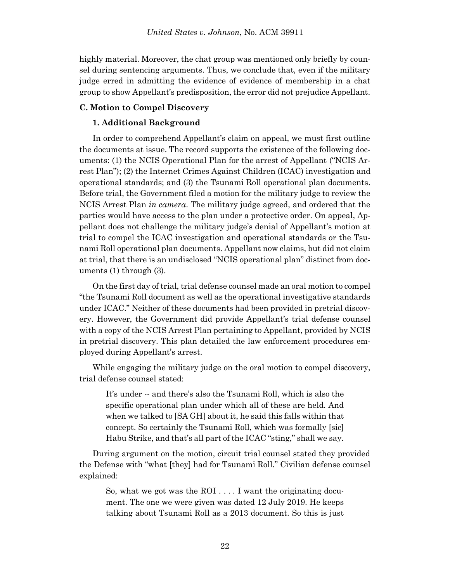highly material. Moreover, the chat group was mentioned only briefly by counsel during sentencing arguments. Thus, we conclude that, even if the military judge erred in admitting the evidence of evidence of membership in a chat group to show Appellant's predisposition, the error did not prejudice Appellant.

## **C. Motion to Compel Discovery**

## **1. Additional Background**

In order to comprehend Appellant's claim on appeal, we must first outline the documents at issue. The record supports the existence of the following documents: (1) the NCIS Operational Plan for the arrest of Appellant ("NCIS Arrest Plan"); (2) the Internet Crimes Against Children (ICAC) investigation and operational standards; and (3) the Tsunami Roll operational plan documents. Before trial, the Government filed a motion for the military judge to review the NCIS Arrest Plan *in camera*. The military judge agreed, and ordered that the parties would have access to the plan under a protective order. On appeal, Appellant does not challenge the military judge's denial of Appellant's motion at trial to compel the ICAC investigation and operational standards or the Tsunami Roll operational plan documents. Appellant now claims, but did not claim at trial, that there is an undisclosed "NCIS operational plan" distinct from documents (1) through (3).

On the first day of trial, trial defense counsel made an oral motion to compel "the Tsunami Roll document as well as the operational investigative standards under ICAC." Neither of these documents had been provided in pretrial discovery. However, the Government did provide Appellant's trial defense counsel with a copy of the NCIS Arrest Plan pertaining to Appellant, provided by NCIS in pretrial discovery. This plan detailed the law enforcement procedures employed during Appellant's arrest.

While engaging the military judge on the oral motion to compel discovery, trial defense counsel stated:

It's under -- and there's also the Tsunami Roll, which is also the specific operational plan under which all of these are held. And when we talked to [SA GH] about it, he said this falls within that concept. So certainly the Tsunami Roll, which was formally [sic] Habu Strike, and that's all part of the ICAC "sting," shall we say.

During argument on the motion, circuit trial counsel stated they provided the Defense with "what [they] had for Tsunami Roll." Civilian defense counsel explained:

So, what we got was the ROI  $\dots$  I want the originating document. The one we were given was dated 12 July 2019. He keeps talking about Tsunami Roll as a 2013 document. So this is just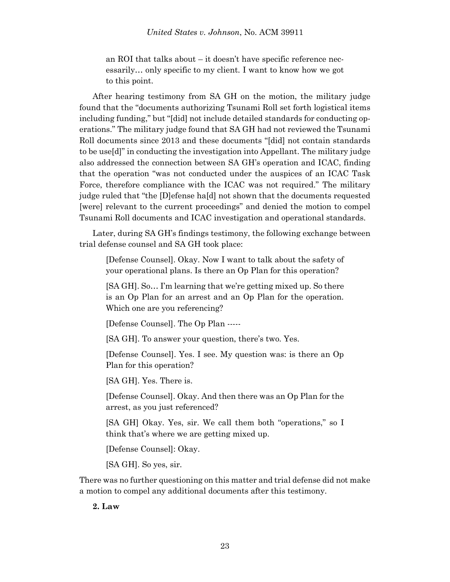an ROI that talks about – it doesn't have specific reference necessarily… only specific to my client. I want to know how we got to this point.

After hearing testimony from SA GH on the motion, the military judge found that the "documents authorizing Tsunami Roll set forth logistical items including funding," but "[did] not include detailed standards for conducting operations." The military judge found that SA GH had not reviewed the Tsunami Roll documents since 2013 and these documents "[did] not contain standards to be use[d]" in conducting the investigation into Appellant. The military judge also addressed the connection between SA GH's operation and ICAC, finding that the operation "was not conducted under the auspices of an ICAC Task Force, therefore compliance with the ICAC was not required." The military judge ruled that "the [D]efense ha[d] not shown that the documents requested [were] relevant to the current proceedings" and denied the motion to compel Tsunami Roll documents and ICAC investigation and operational standards.

Later, during SA GH's findings testimony, the following exchange between trial defense counsel and SA GH took place:

[Defense Counsel]. Okay. Now I want to talk about the safety of your operational plans. Is there an Op Plan for this operation?

[SA GH]. So… I'm learning that we're getting mixed up. So there is an Op Plan for an arrest and an Op Plan for the operation. Which one are you referencing?

[Defense Counsel]. The Op Plan -----

[SA GH]. To answer your question, there's two. Yes.

[Defense Counsel]. Yes. I see. My question was: is there an Op Plan for this operation?

[SA GH]. Yes. There is.

[Defense Counsel]. Okay. And then there was an Op Plan for the arrest, as you just referenced?

[SA GH] Okay. Yes, sir. We call them both "operations," so I think that's where we are getting mixed up.

[Defense Counsel]: Okay.

[SA GH]. So yes, sir.

There was no further questioning on this matter and trial defense did not make a motion to compel any additional documents after this testimony.

**2. Law**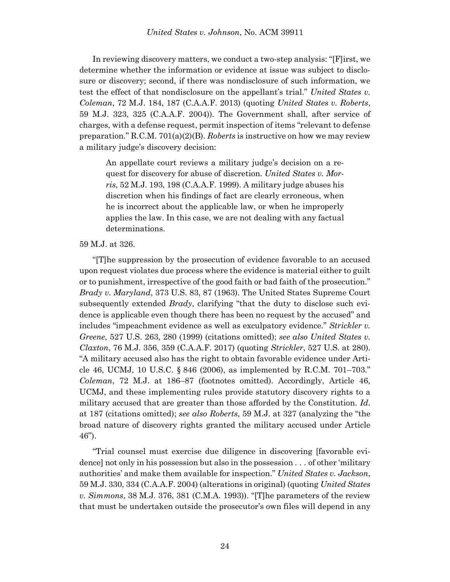In reviewing discovery matters, we conduct a two-step analysis: "[F]irst, we determine whether the information or evidence at issue was subject to disclosure or discovery; second, if there was nondisclosure of such information, we test the effect of that nondisclosure on the appellant's trial." *United States v. Coleman*, 72 M.J. 184, 187 (C.A.A.F. 2013) (quoting *United States v. Roberts*, 59 M.J. 323, 325 (C.A.A.F. 2004)). The Government shall, after service of charges, with a defense request, permit inspection of items "relevant to defense preparation." R.C.M. 701(a)(2)(B). *Roberts* is instructive on how we may review a military judge's discovery decision:

An appellate court reviews a military judge's decision on a request for discovery for abuse of discretion. *United States v. Morris*, 52 M.J. 193, 198 (C.A.A.F. 1999). A military judge abuses his discretion when his findings of fact are clearly erroneous, when he is incorrect about the applicable law, or when he improperly applies the law. In this case, we are not dealing with any factual determinations.

#### 59 M.J. at 326.

"[T]he suppression by the prosecution of evidence favorable to an accused upon request violates due process where the evidence is material either to guilt or to punishment, irrespective of the good faith or bad faith of the prosecution." *Brady v. Maryland*, 373 U.S. 83, 87 (1963). The United States Supreme Court subsequently extended *Brady*, clarifying "that the duty to disclose such evidence is applicable even though there has been no request by the accused" and includes "impeachment evidence as well as exculpatory evidence." *Strickler v. Greene*, 527 U.S. 263, 280 (1999) (citations omitted); *see also United States v. Claxton*, 76 M.J. 356, 359 (C.A.A.F. 2017) (quoting *Strickler*, 527 U.S. at 280). "A military accused also has the right to obtain favorable evidence under Article 46, UCMJ, 10 U.S.C. § 846 (2006), as implemented by R.C.M. 701–703." *Coleman*, 72 M.J. at 186–87 (footnotes omitted). Accordingly, Article 46, UCMJ, and these implementing rules provide statutory discovery rights to a military accused that are greater than those afforded by the Constitution. *Id*. at 187 (citations omitted); *see also Roberts*, 59 M.J. at 327 (analyzing the "the broad nature of discovery rights granted the military accused under Article 46").

"Trial counsel must exercise due diligence in discovering [favorable evidence] not only in his possession but also in the possession . . . of other 'military authorities' and make them available for inspection." *United States v. Jackson*, 59 M.J. 330, 334 (C.A.A.F. 2004) (alterations in original) (quoting *United States v. Simmons*, 38 M.J. 376, 381 (C.M.A. 1993)). "[T]he parameters of the review that must be undertaken outside the prosecutor's own files will depend in any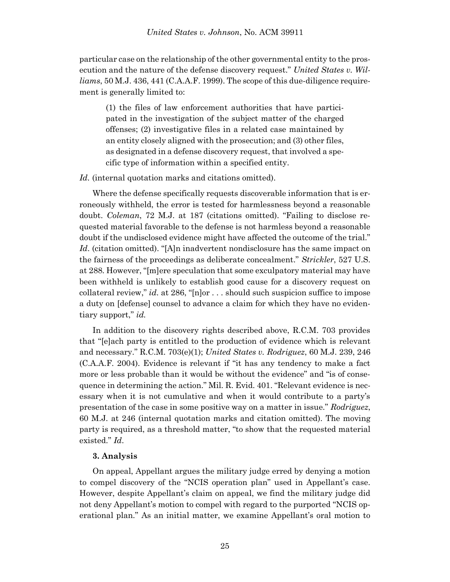particular case on the relationship of the other governmental entity to the prosecution and the nature of the defense discovery request." *United States v. Williams*, 50 M.J. 436, 441 (C.A.A.F. 1999). The scope of this due-diligence requirement is generally limited to:

(1) the files of law enforcement authorities that have participated in the investigation of the subject matter of the charged offenses; (2) investigative files in a related case maintained by an entity closely aligned with the prosecution; and (3) other files, as designated in a defense discovery request, that involved a specific type of information within a specified entity.

Id. (internal quotation marks and citations omitted).

Where the defense specifically requests discoverable information that is erroneously withheld, the error is tested for harmlessness beyond a reasonable doubt. *Coleman*, 72 M.J. at 187 (citations omitted). "Failing to disclose requested material favorable to the defense is not harmless beyond a reasonable doubt if the undisclosed evidence might have affected the outcome of the trial." Id. (citation omitted). "[A]n inadvertent nondisclosure has the same impact on the fairness of the proceedings as deliberate concealment." *Strickler*, 527 U.S. at 288. However, "[m]ere speculation that some exculpatory material may have been withheld is unlikely to establish good cause for a discovery request on collateral review," *id.* at 286, "[n]or . . . should such suspicion suffice to impose a duty on [defense] counsel to advance a claim for which they have no evidentiary support," *id.*

In addition to the discovery rights described above, R.C.M. 703 provides that "[e]ach party is entitled to the production of evidence which is relevant and necessary." R.C.M. 703(e)(1); *United States v. Rodriguez*, 60 M.J. 239, 246 (C.A.A.F. 2004). Evidence is relevant if "it has any tendency to make a fact more or less probable than it would be without the evidence" and "is of consequence in determining the action." Mil. R. Evid. 401. "Relevant evidence is necessary when it is not cumulative and when it would contribute to a party's presentation of the case in some positive way on a matter in issue." *Rodriguez*, 60 M.J. at 246 (internal quotation marks and citation omitted). The moving party is required, as a threshold matter, "to show that the requested material existed." *Id*.

#### **3. Analysis**

On appeal, Appellant argues the military judge erred by denying a motion to compel discovery of the "NCIS operation plan" used in Appellant's case. However, despite Appellant's claim on appeal, we find the military judge did not deny Appellant's motion to compel with regard to the purported "NCIS operational plan." As an initial matter, we examine Appellant's oral motion to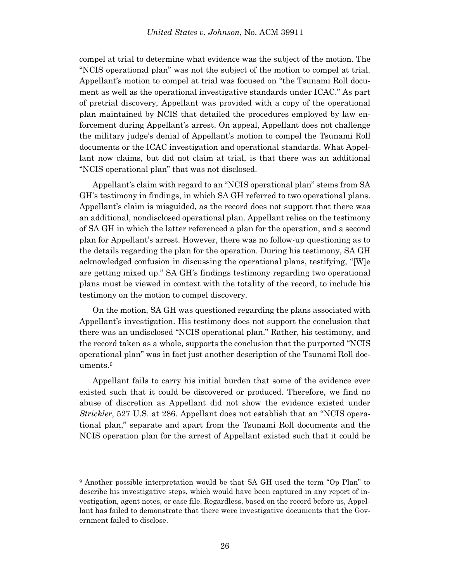compel at trial to determine what evidence was the subject of the motion. The "NCIS operational plan" was not the subject of the motion to compel at trial. Appellant's motion to compel at trial was focused on "the Tsunami Roll document as well as the operational investigative standards under ICAC." As part of pretrial discovery, Appellant was provided with a copy of the operational plan maintained by NCIS that detailed the procedures employed by law enforcement during Appellant's arrest. On appeal, Appellant does not challenge the military judge's denial of Appellant's motion to compel the Tsunami Roll documents or the ICAC investigation and operational standards. What Appellant now claims, but did not claim at trial, is that there was an additional "NCIS operational plan" that was not disclosed.

Appellant's claim with regard to an "NCIS operational plan" stems from SA GH's testimony in findings, in which SA GH referred to two operational plans. Appellant's claim is misguided, as the record does not support that there was an additional, nondisclosed operational plan. Appellant relies on the testimony of SA GH in which the latter referenced a plan for the operation, and a second plan for Appellant's arrest. However, there was no follow-up questioning as to the details regarding the plan for the operation. During his testimony, SA GH acknowledged confusion in discussing the operational plans, testifying, "[W]e are getting mixed up." SA GH's findings testimony regarding two operational plans must be viewed in context with the totality of the record, to include his testimony on the motion to compel discovery.

On the motion, SA GH was questioned regarding the plans associated with Appellant's investigation. His testimony does not support the conclusion that there was an undisclosed "NCIS operational plan." Rather, his testimony, and the record taken as a whole, supports the conclusion that the purported "NCIS operational plan" was in fact just another description of the Tsunami Roll documents.<sup>9</sup>

Appellant fails to carry his initial burden that some of the evidence ever existed such that it could be discovered or produced. Therefore, we find no abuse of discretion as Appellant did not show the evidence existed under *Strickler*, 527 U.S. at 286. Appellant does not establish that an "NCIS operational plan," separate and apart from the Tsunami Roll documents and the NCIS operation plan for the arrest of Appellant existed such that it could be

l

<sup>9</sup> Another possible interpretation would be that SA GH used the term "Op Plan" to describe his investigative steps, which would have been captured in any report of investigation, agent notes, or case file. Regardless, based on the record before us, Appellant has failed to demonstrate that there were investigative documents that the Government failed to disclose.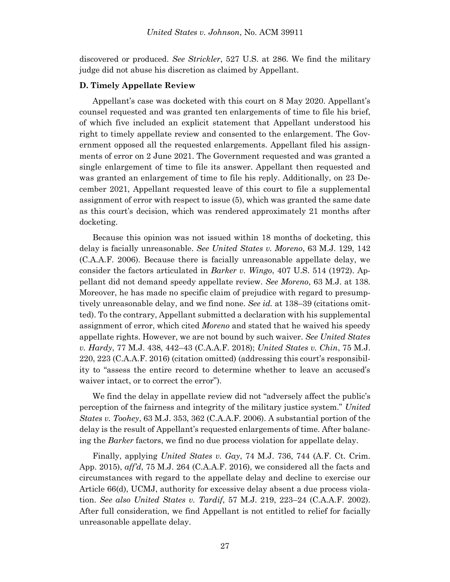discovered or produced. *See Strickler*, 527 U.S. at 286. We find the military judge did not abuse his discretion as claimed by Appellant.

#### **D. Timely Appellate Review**

Appellant's case was docketed with this court on 8 May 2020. Appellant's counsel requested and was granted ten enlargements of time to file his brief, of which five included an explicit statement that Appellant understood his right to timely appellate review and consented to the enlargement. The Government opposed all the requested enlargements. Appellant filed his assignments of error on 2 June 2021. The Government requested and was granted a single enlargement of time to file its answer. Appellant then requested and was granted an enlargement of time to file his reply. Additionally, on 23 December 2021, Appellant requested leave of this court to file a supplemental assignment of error with respect to issue (5), which was granted the same date as this court's decision, which was rendered approximately 21 months after docketing.

Because this opinion was not issued within 18 months of docketing, this delay is facially unreasonable. *See United States v. Moreno*, 63 M.J. 129, 142 (C.A.A.F. 2006). Because there is facially unreasonable appellate delay, we consider the factors articulated in *Barker v. Wingo*, 407 U.S. 514 (1972). Appellant did not demand speedy appellate review. *See Moreno*, 63 M.J. at 138. Moreover, he has made no specific claim of prejudice with regard to presumptively unreasonable delay, and we find none. *See id.* at 138–39 (citations omitted). To the contrary, Appellant submitted a declaration with his supplemental assignment of error, which cited *Moreno* and stated that he waived his speedy appellate rights. However, we are not bound by such waiver. *See United States v. Hardy*, 77 M.J. 438, 442–43 (C.A.A.F. 2018); *United States v. Chin*, 75 M.J. 220, 223 (C.A.A.F. 2016) (citation omitted) (addressing this court's responsibility to "assess the entire record to determine whether to leave an accused's waiver intact, or to correct the error").

We find the delay in appellate review did not "adversely affect the public's perception of the fairness and integrity of the military justice system." *United States v. Toohey*, 63 M.J. 353, 362 (C.A.A.F. 2006). A substantial portion of the delay is the result of Appellant's requested enlargements of time. After balancing the *Barker* factors, we find no due process violation for appellate delay.

Finally, applying *United States v. Gay*, 74 M.J. 736, 744 (A.F. Ct. Crim. App. 2015), *aff'd*, 75 M.J. 264 (C.A.A.F. 2016), we considered all the facts and circumstances with regard to the appellate delay and decline to exercise our Article 66(d), UCMJ, authority for excessive delay absent a due process violation. *See also United States v. Tardif*, 57 M.J. 219, 223–24 (C.A.A.F. 2002). After full consideration, we find Appellant is not entitled to relief for facially unreasonable appellate delay.